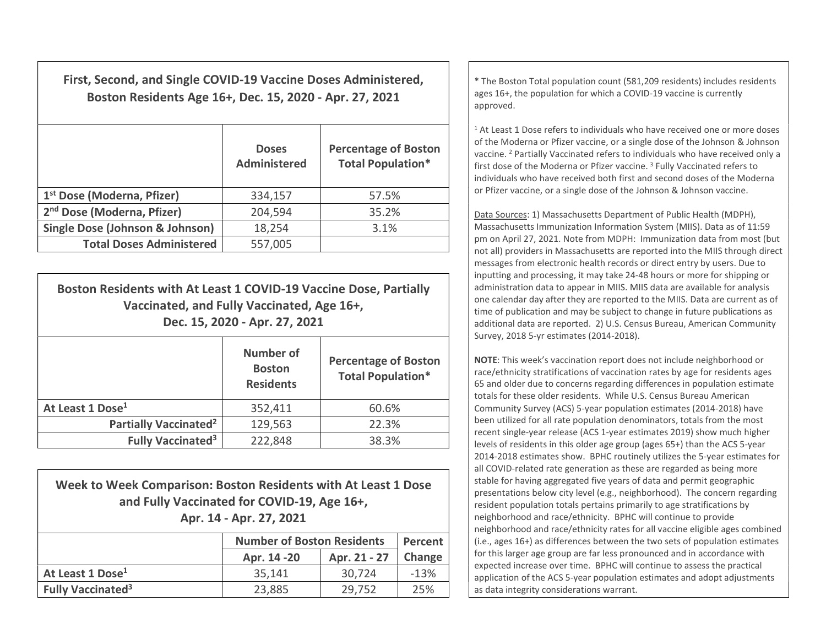First, Second, and Single COVID-19 Vaccine Doses Administered, Boston Residents Age 16+, Dec. 15, 2020 - Apr. 27, 2021

|                                        | <b>Doses</b><br><b>Administered</b> | <b>Percentage of Boston</b><br><b>Total Population*</b> |
|----------------------------------------|-------------------------------------|---------------------------------------------------------|
| 1 <sup>st</sup> Dose (Moderna, Pfizer) | 334,157                             | 57.5%                                                   |
| 2 <sup>nd</sup> Dose (Moderna, Pfizer) | 204,594                             | 35.2%                                                   |
| Single Dose (Johnson & Johnson)        | 18,254                              | 3.1%                                                    |
| <b>Total Doses Administered</b>        | 557,005                             |                                                         |

Boston Residents with At Least 1 COVID-19 Vaccine Dose, Partially Vaccinated, and Fully Vaccinated, Age 16+, Dec. 15, 2020 - Apr. 27, 2021

|                                     | <b>Number of</b><br><b>Boston</b><br><b>Residents</b> | <b>Percentage of Boston</b><br><b>Total Population*</b> |
|-------------------------------------|-------------------------------------------------------|---------------------------------------------------------|
| At Least 1 Dose <sup>1</sup>        | 352,411                                               | 60.6%                                                   |
| Partially Vaccinated <sup>2</sup>   | 129,563                                               | 22.3%                                                   |
| <b>Fully Vaccinated<sup>3</sup></b> | 222,848                                               | 38.3%                                                   |

| Week to Week Comparison: Boston Residents with At Least 1 Dose<br>and Fully Vaccinated for COVID-19, Age 16+,<br>Apr. 14 - Apr. 27, 2021 |                                   |              |        |  |  |  |  |
|------------------------------------------------------------------------------------------------------------------------------------------|-----------------------------------|--------------|--------|--|--|--|--|
|                                                                                                                                          | <b>Number of Boston Residents</b> | Percent      |        |  |  |  |  |
|                                                                                                                                          | Apr. 14 -20                       | Apr. 21 - 27 | Change |  |  |  |  |
| At Least 1 Dose <sup>1</sup>                                                                                                             | 35,141                            | 30,724       | $-13%$ |  |  |  |  |
| <b>Fully Vaccinated<sup>3</sup></b>                                                                                                      | 23,885                            | 29,752       | 25%    |  |  |  |  |

\* The Boston Total population count (581,209 residents) includes residents ages 16+, the population for which a COVID-19 vaccine is currently approved.

<sup>1</sup> At Least 1 Dose refers to individuals who have received one or more doses of the Moderna or Pfizer vaccine, or a single dose of the Johnson & Johnson vaccine. <sup>2</sup> Partially Vaccinated refers to individuals who have received only a first dose of the Moderna or Pfizer vaccine.<sup>3</sup> Fully Vaccinated refers to individuals who have received both first and second doses of the Moderna or Pfizer vaccine, or a single dose of the Johnson & Johnson vaccine.

Data Sources: 1) Massachusetts Department of Public Health (MDPH), Massachusetts Immunization Information System (MIIS). Data as of 11:59 pm on April 27, 2021. Note from MDPH: Immunization data from most (but not all) providers in Massachusetts are reported into the MIIS through direct messages from electronic health records or direct entry by users. Due to inputting and processing, it may take 24-48 hours or more for shipping or administration data to appear in MIIS. MIIS data are available for analysis one calendar day after they are reported to the MIIS. Data are current as of time of publication and may be subject to change in future publications as additional data are reported. 2) U.S. Census Bureau, American Community Survey, 2018 5-yr estimates (2014-2018).

NOTE: This week's vaccination report does not include neighborhood or race/ethnicity stratifications of vaccination rates by age for residents ages 65 and older due to concerns regarding differences in population estimate totals for these older residents. While U.S. Census Bureau American Community Survey (ACS) 5-year population estimates (2014-2018) have been utilized for all rate population denominators, totals from the most recent single-year release (ACS 1-year estimates 2019) show much higher levels of residents in this older age group (ages 65+) than the ACS 5-year 2014-2018 estimates show. BPHC routinely utilizes the 5-year estimates for all COVID-related rate generation as these are regarded as being more stable for having aggregated five years of data and permit geographic presentations below city level (e.g., neighborhood). The concern regarding resident population totals pertains primarily to age stratifications by neighborhood and race/ethnicity. BPHC will continue to provide neighborhood and race/ethnicity rates for all vaccine eligible ages combined (i.e., ages 16+) as differences between the two sets of population estimates for this larger age group are far less pronounced and in accordance with expected increase over time. BPHC will continue to assess the practical application of the ACS 5-year population estimates and adopt adjustments as data integrity considerations warrant.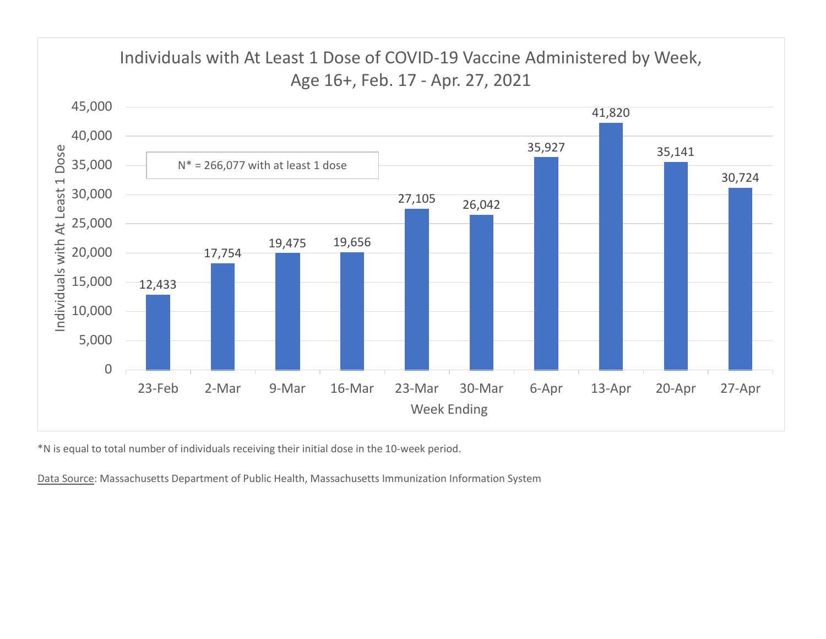

\*N is equal to total number of individuals receiving their initial dose in the 10-week period.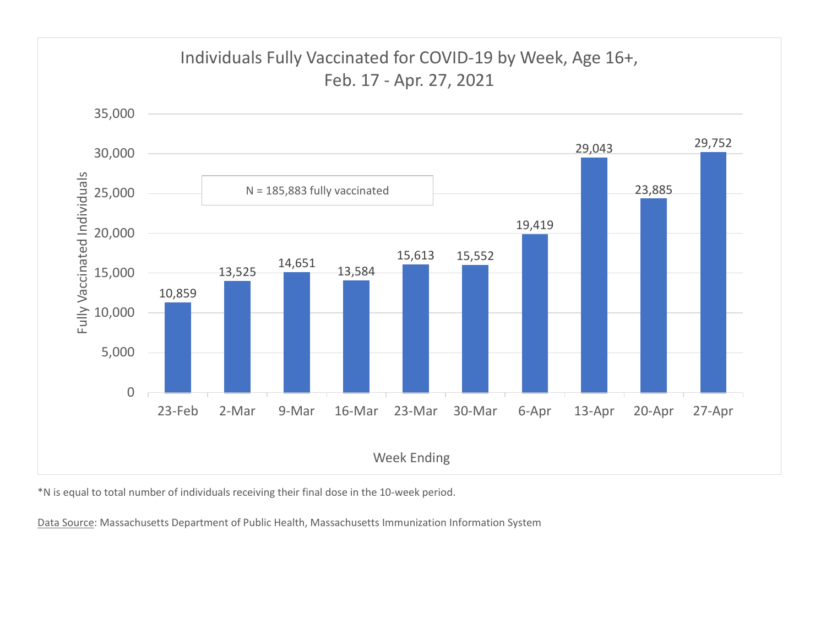

\*N is equal to total number of individuals receiving their final dose in the 10-week period.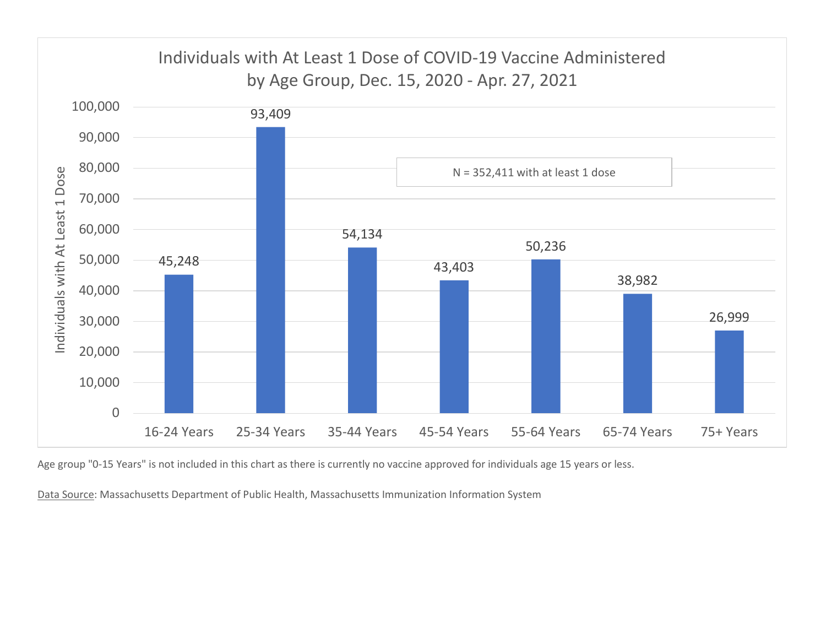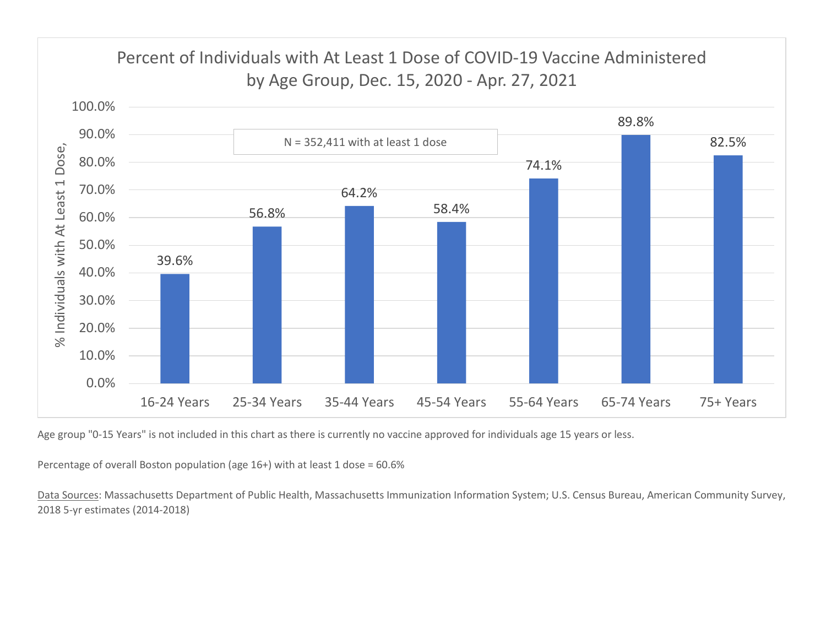

Percentage of overall Boston population (age 16+) with at least 1 dose = 60.6%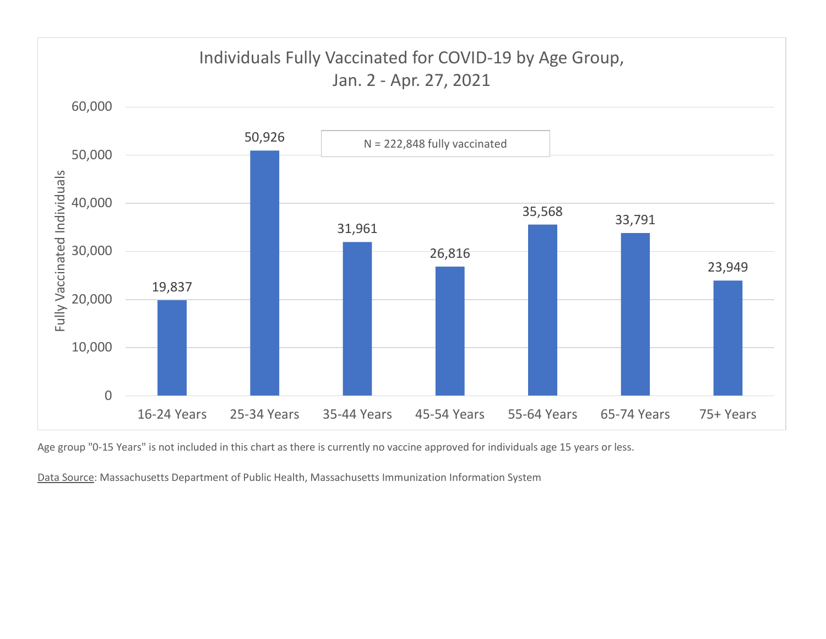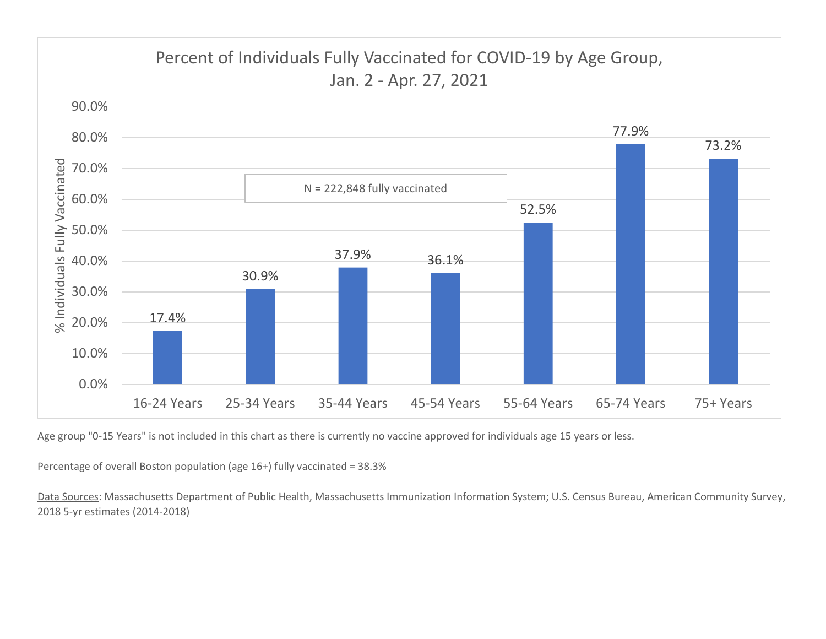

Percentage of overall Boston population (age 16+) fully vaccinated = 38.3%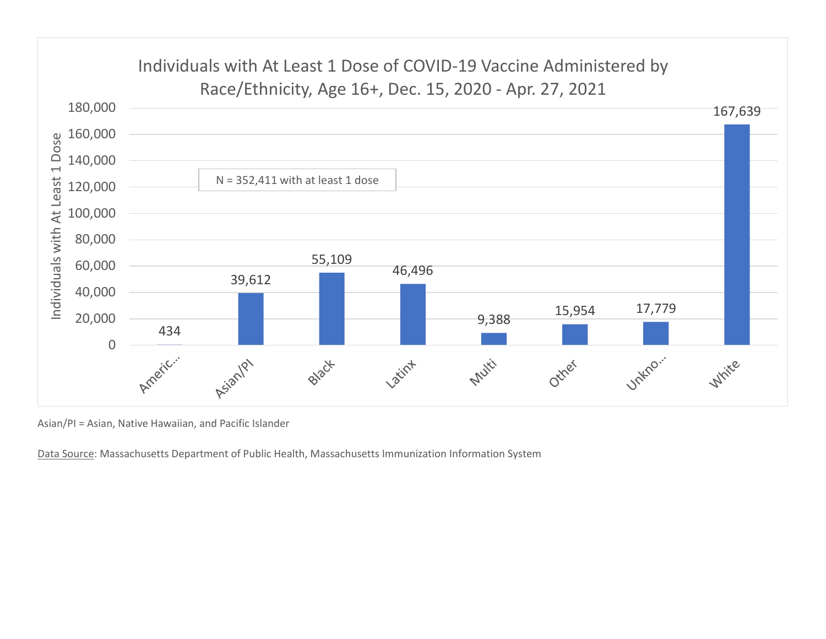

Asian/PI = Asian, Native Hawaiian, and Pacific Islander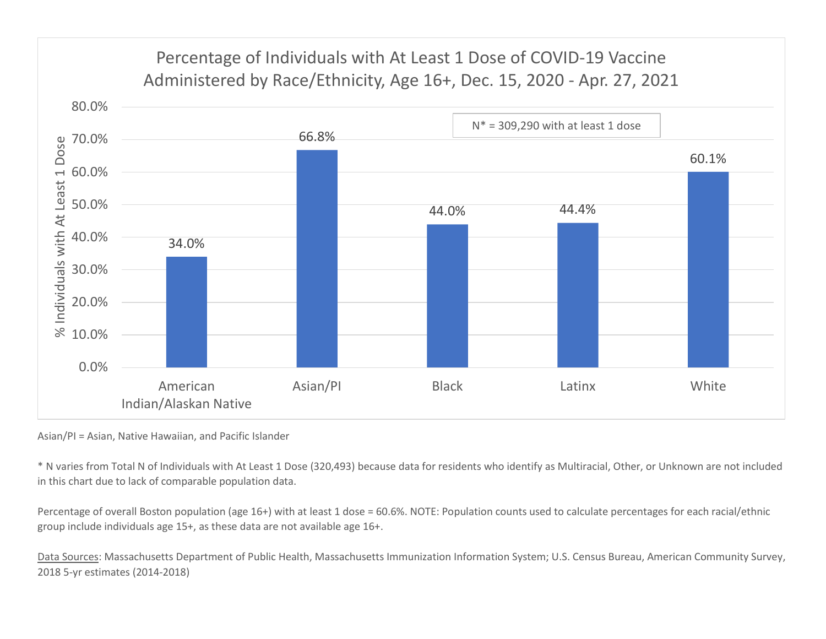

Asian/PI = Asian, Native Hawaiian, and Pacific Islander

\* N varies from Total N of Individuals with At Least 1 Dose (320,493) because data for residents who identify as Multiracial, Other, or Unknown are not included in this chart due to lack of comparable population data.

Percentage of overall Boston population (age 16+) with at least 1 dose = 60.6%. NOTE: Population counts used to calculate percentages for each racial/ethnic group include individuals age 15+, as these data are not available age 16+.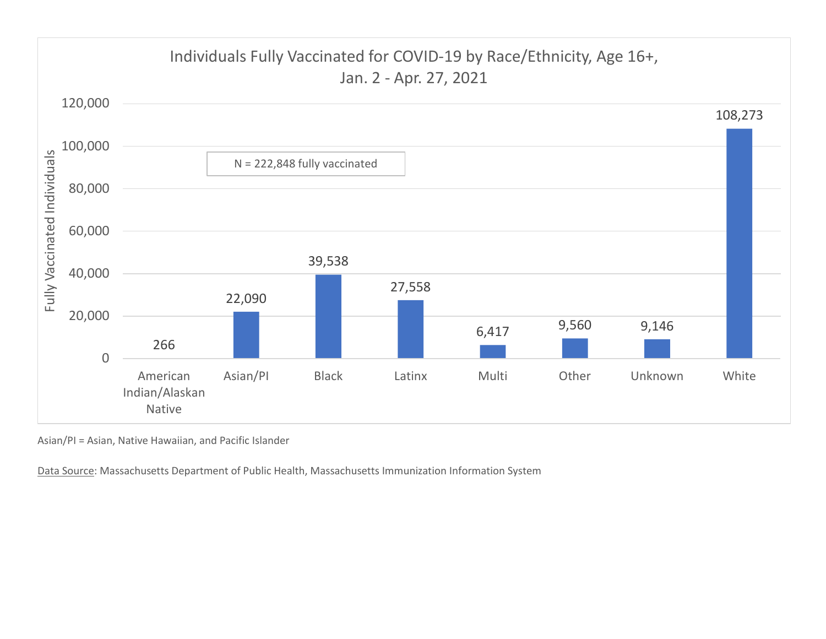

Asian/PI = Asian, Native Hawaiian, and Pacific Islander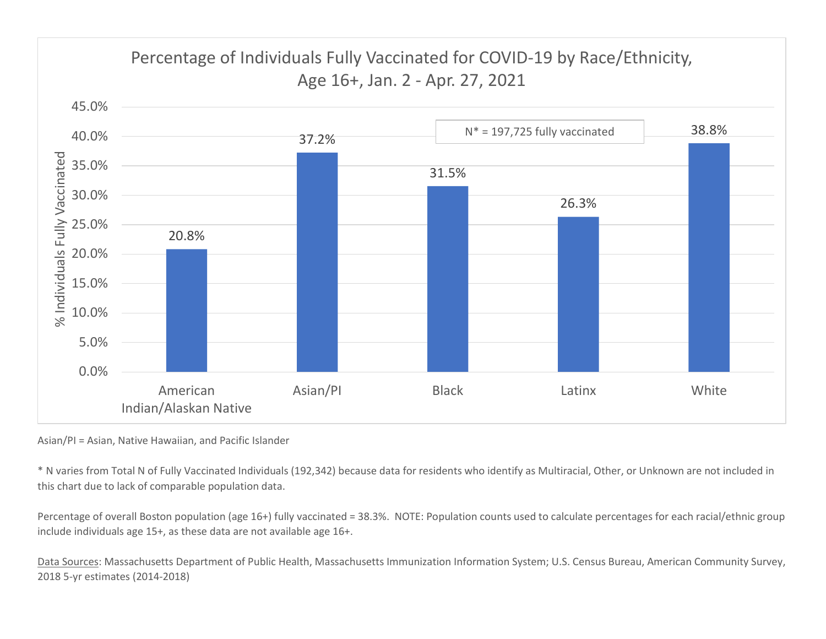

Asian/PI = Asian, Native Hawaiian, and Pacific Islander

\* N varies from Total N of Fully Vaccinated Individuals (192,342) because data for residents who identify as Multiracial, Other, or Unknown are not included in this chart due to lack of comparable population data.

Percentage of overall Boston population (age 16+) fully vaccinated = 38.3%. NOTE: Population counts used to calculate percentages for each racial/ethnic group include individuals age 15+, as these data are not available age 16+.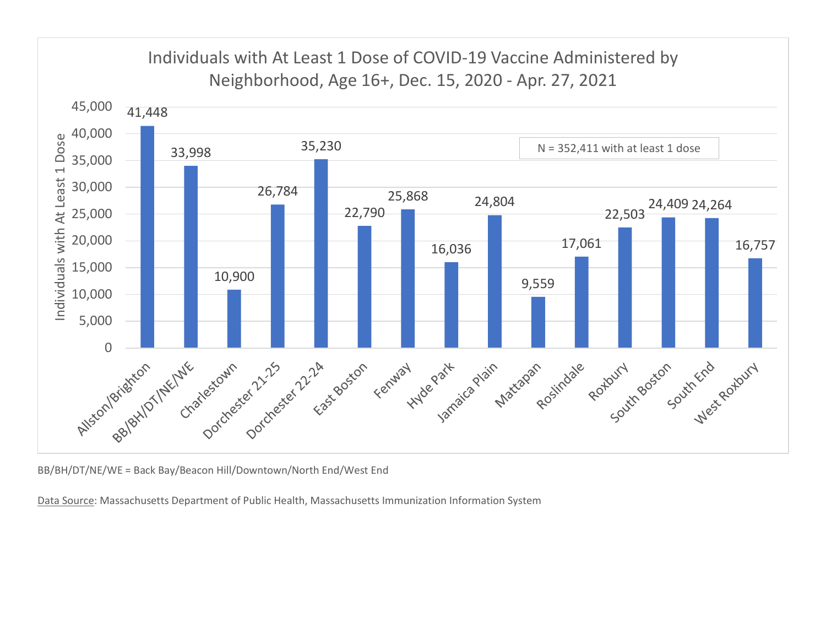

BB/BH/DT/NE/WE = Back Bay/Beacon Hill/Downtown/North End/West End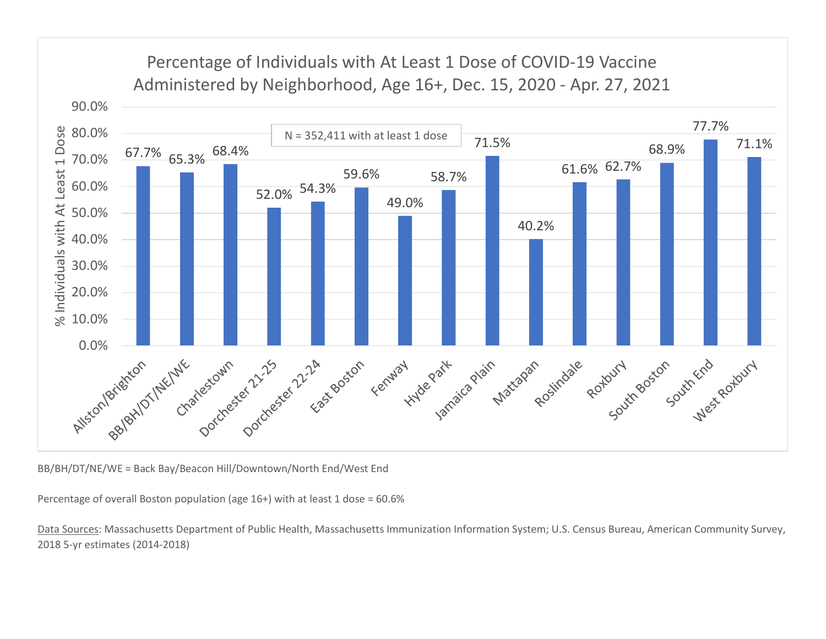

BB/BH/DT/NE/WE = Back Bay/Beacon Hill/Downtown/North End/West End

Percentage of overall Boston population (age 16+) with at least 1 dose = 60.6%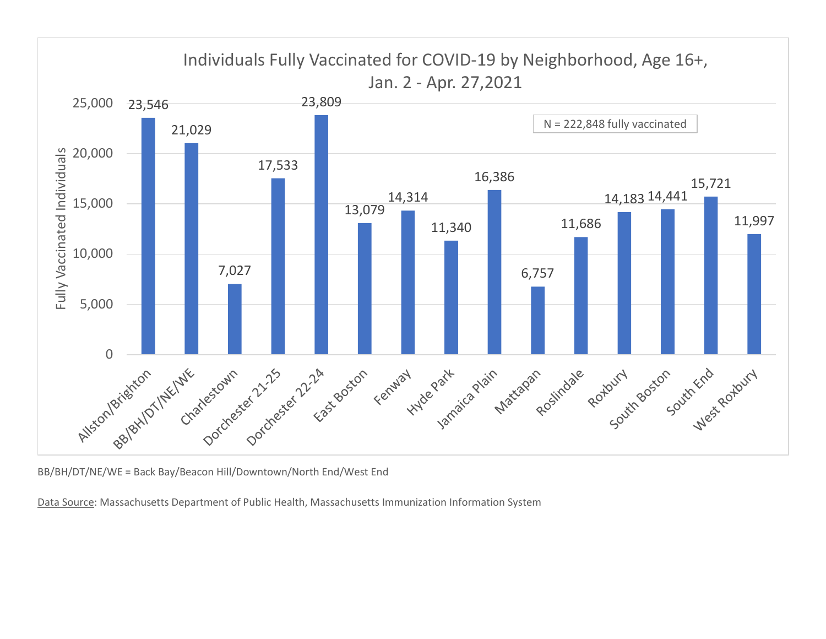

BB/BH/DT/NE/WE = Back Bay/Beacon Hill/Downtown/North End/West End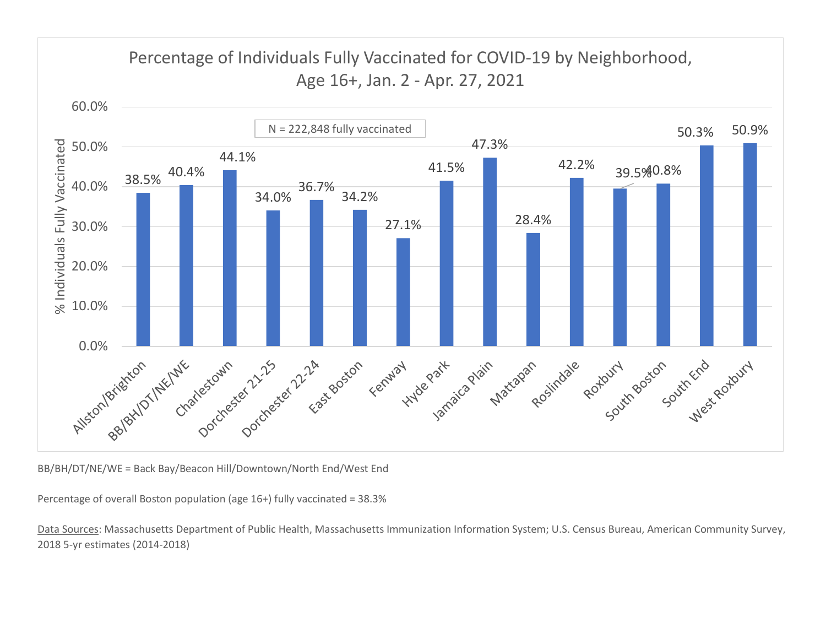

BB/BH/DT/NE/WE = Back Bay/Beacon Hill/Downtown/North End/West End

Percentage of overall Boston population (age 16+) fully vaccinated = 38.3%